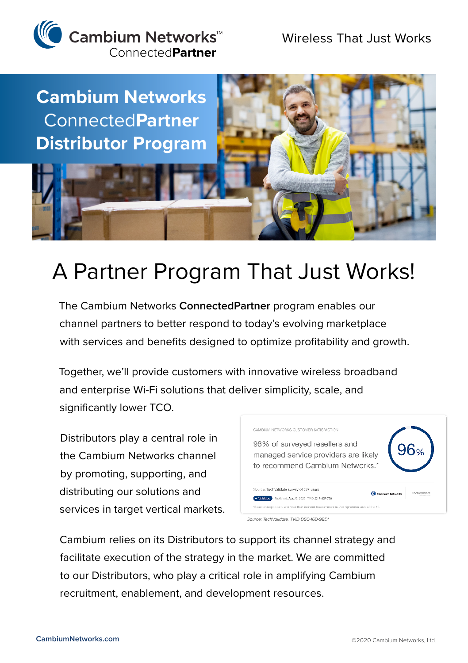



## A Partner Program That Just Works!

The Cambium Networks **ConnectedPartner** program enables our channel partners to better respond to today's evolving marketplace with services and benefits designed to optimize profitability and growth.

Together, we'll provide customers with innovative wireless broadband and enterprise Wi-Fi solutions that deliver simplicity, scale, and significantly lower TCO.

Distributors play a central role in the Cambium Networks channel by promoting, supporting, and distributing our solutions and services in target vertical markets.



*Source: TechValidate. TVID D5C-16D-9BD\**

Cambium relies on its Distributors to support its channel strategy and facilitate execution of the strategy in the market. We are committed to our Distributors, who play a critical role in amplifying Cambium recruitment, enablement, and development resources.